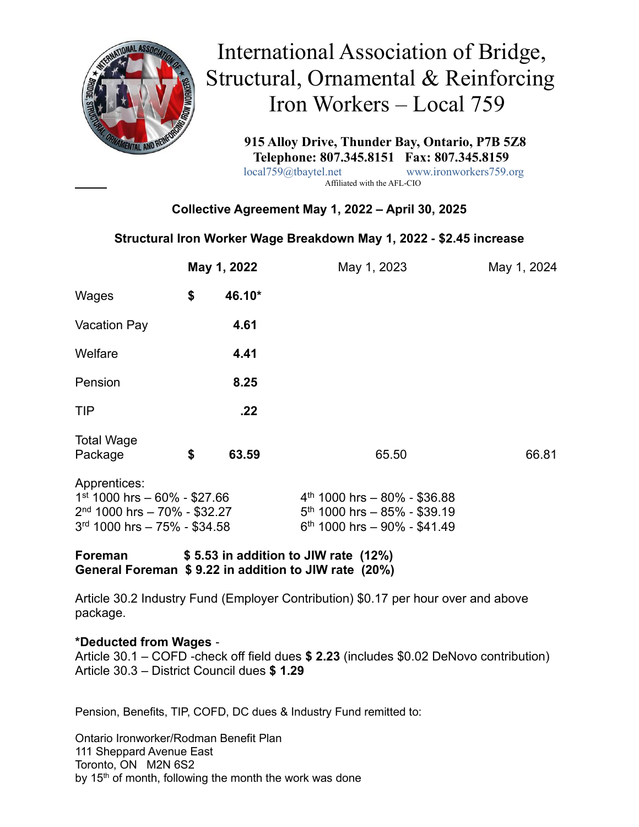

 International Association of Bridge, Structural, Ornamental & Reinforcing Iron Workers – Local 759

> **915 Alloy Drive, Thunder Bay, Ontario, P7B 5Z8 Telephone: 807.345.8151 Fax: 807.345.8159**<br>local759@tbaytel.net www.ironworkers759.c www.ironworkers759.org

Affiliated with the AFL-CIO

## **Collective Agreement May 1, 2022 – April 30, 2025**

#### **Structural Iron Worker Wage Breakdown May 1, 2022 - \$2.45 increase**

|                                                                                                                    | May 1, 2022                          |                                                                                                    | May 1, 2023 | May 1, 2024 |  |  |
|--------------------------------------------------------------------------------------------------------------------|--------------------------------------|----------------------------------------------------------------------------------------------------|-------------|-------------|--|--|
| Wages                                                                                                              | \$                                   | 46.10*                                                                                             |             |             |  |  |
| <b>Vacation Pay</b>                                                                                                |                                      | 4.61                                                                                               |             |             |  |  |
| Welfare                                                                                                            |                                      | 4.41                                                                                               |             |             |  |  |
| Pension                                                                                                            |                                      | 8.25                                                                                               |             |             |  |  |
| TIP                                                                                                                |                                      | .22                                                                                                |             |             |  |  |
| <b>Total Wage</b><br>Package                                                                                       | \$                                   | 63.59                                                                                              | 65.50       | 66.81       |  |  |
| Apprentices:<br>$1st$ 1000 hrs - 60% - \$27.66<br>$2nd$ 1000 hrs - 70% - \$32.27<br>$3rd$ 1000 hrs - 75% - \$34.58 |                                      | $4th$ 1000 hrs - 80% - \$36.88<br>$5th$ 1000 hrs - 85% - \$39.19<br>$6th$ 1000 hrs - 90% - \$41.49 |             |             |  |  |
| <b>Foreman</b>                                                                                                     | \$5.53 in addition to JIW rate (12%) |                                                                                                    |             |             |  |  |

**General Foreman \$ 9.22 in addition to JIW rate (20%)**

Article 30.2 Industry Fund (Employer Contribution) \$0.17 per hour over and above package.

#### **\*Deducted from Wages** -

Article 30.1 – COFD -check off field dues **\$ 2.23** (includes \$0.02 DeNovo contribution) Article 30.3 – District Council dues **\$ 1.29**

Pension, Benefits, TIP, COFD, DC dues & Industry Fund remitted to:

Ontario Ironworker/Rodman Benefit Plan 111 Sheppard Avenue East Toronto, ON M2N 6S2 by 15<sup>th</sup> of month, following the month the work was done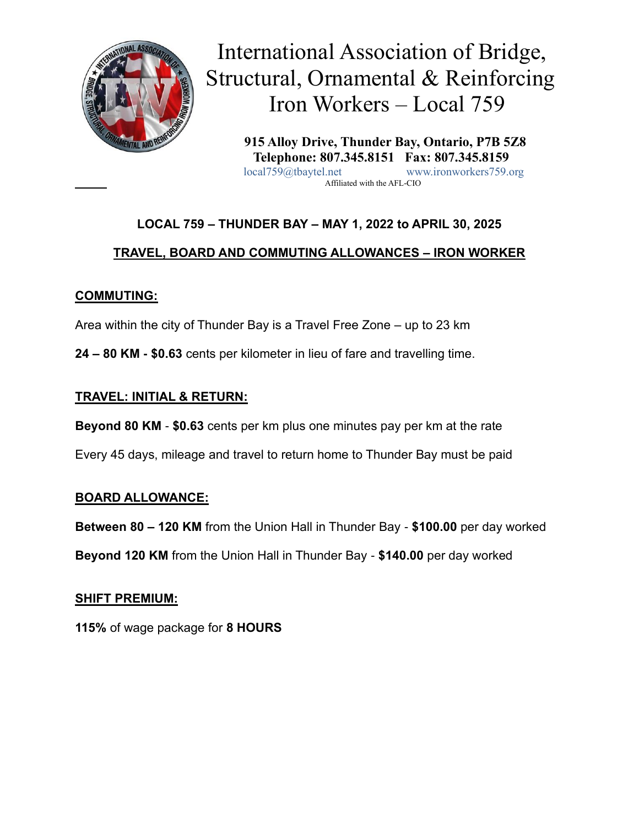

 International Association of Bridge, Structural, Ornamental & Reinforcing Iron Workers – Local 759

 **915 Alloy Drive, Thunder Bay, Ontario, P7B 5Z8 Telephone: 807.345.8151 Fax: 807.345.8159** local759@tbaytel.net www.ironworkers759.org Affiliated with the AFL-CIO

# **LOCAL 759 – THUNDER BAY – MAY 1, 2022 to APRIL 30, 2025**

## **TRAVEL, BOARD AND COMMUTING ALLOWANCES – IRON WORKER**

## **COMMUTING:**

Area within the city of Thunder Bay is a Travel Free Zone – up to 23 km

**24 – 80 KM - \$0.63** cents per kilometer in lieu of fare and travelling time.

## **TRAVEL: INITIAL & RETURN:**

**Beyond 80 KM** - **\$0.63** cents per km plus one minutes pay per km at the rate

Every 45 days, mileage and travel to return home to Thunder Bay must be paid

#### **BOARD ALLOWANCE:**

**Between 80 – 120 KM** from the Union Hall in Thunder Bay - **\$100.00** per day worked

**Beyond 120 KM** from the Union Hall in Thunder Bay - **\$140.00** per day worked

#### **SHIFT PREMIUM:**

**115%** of wage package for **8 HOURS**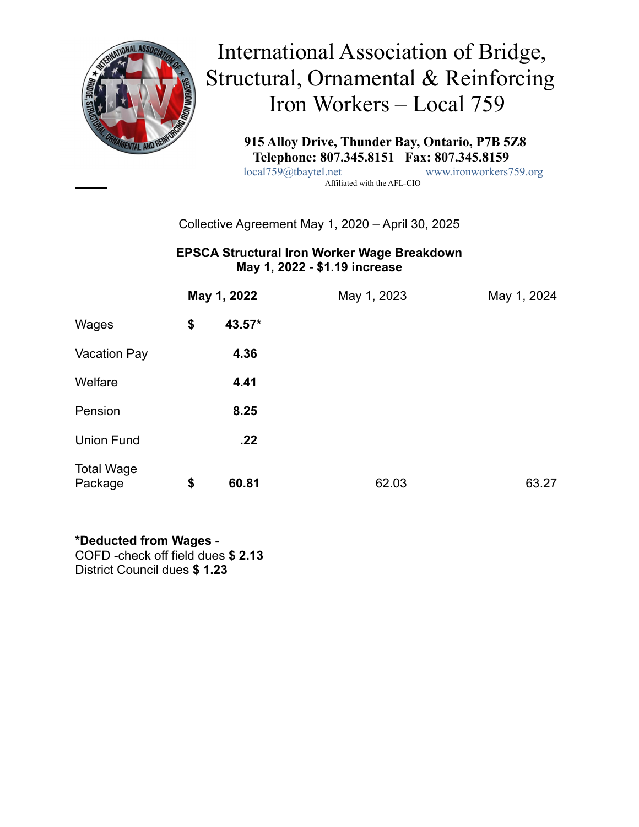

 International Association of Bridge, Structural, Ornamental & Reinforcing Iron Workers – Local 759

 **915 Alloy Drive, Thunder Bay, Ontario, P7B 5Z8 Telephone: 807.345.8151 Fax: 807.345.8159** local759@tbaytel.net www.ironworkers759.org Affiliated with the AFL-CIO

#### Collective Agreement May 1, 2020 – April 30, 2025

#### **EPSCA Structural Iron Worker Wage Breakdown May 1, 2022 - \$1.19 increase**

|                              | May 1, 2022  | May 1, 2023 |       | May 1, 2024 |
|------------------------------|--------------|-------------|-------|-------------|
| Wages                        | \$<br>43.57* |             |       |             |
| <b>Vacation Pay</b>          | 4.36         |             |       |             |
| Welfare                      | 4.41         |             |       |             |
| Pension                      | 8.25         |             |       |             |
| <b>Union Fund</b>            | .22          |             |       |             |
| <b>Total Wage</b><br>Package | \$<br>60.81  |             | 62.03 | 63.27       |

#### **\*Deducted from Wages** -

COFD -check off field dues **\$ 2.13**  District Council dues **\$ 1.23**